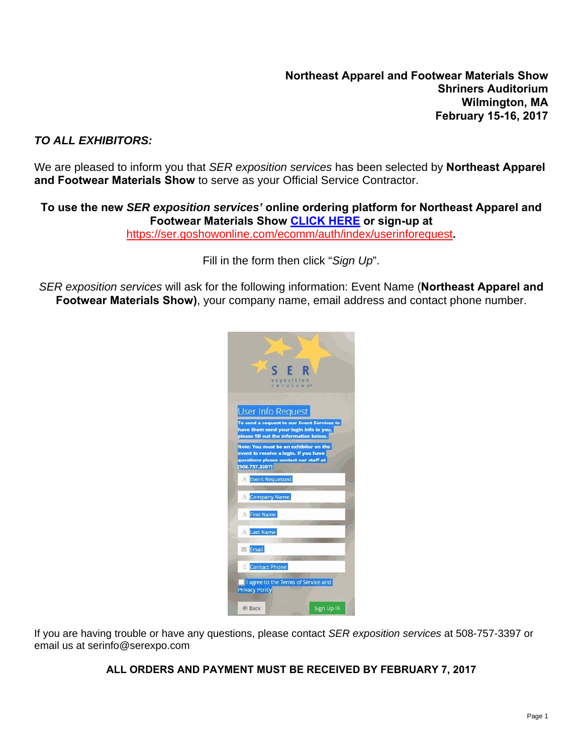#### *TO ALL EXHIBITORS:*

We are pleased to inform you that *SER exposition services* has been selected by **Northeast Apparel and Footwear Materials Show** to serve as your Official Service Contractor.

#### **To use the new** *SER exposition services'* **online ordering platform for Northeast Apparel and Footwear Materials Show CLICK HERE or sign-up at**

https://ser.goshowonline.com/ecomm/auth/index/userinforequest**.**

Fill in the form then click "*Sign Up*".

*SER exposition services* will ask for the following information: Event Name (**Northeast Apparel and Footwear Materials Show)**, your company name, email address and contact phone number.

| S E R<br>exposition<br>services                                                                                                |
|--------------------------------------------------------------------------------------------------------------------------------|
|                                                                                                                                |
| <b>User Info Request</b>                                                                                                       |
| To send a request to our Event Services to<br>have them send your login info to you,<br>please fill out the information below. |
| Note: You must be an exhibitor on the<br>event to receive a login. If you have                                                 |
| questions please contact our staff at<br>[508.757.3397]                                                                        |
| Event Requested                                                                                                                |
| Company Name                                                                                                                   |
| First Name                                                                                                                     |
| <b>Last Name</b>                                                                                                               |
| Email                                                                                                                          |
| <b>Contact Phone</b>                                                                                                           |
| I agree to the Terms of Service and<br><b>Privacy Policy</b>                                                                   |
| Sign Up<br><b>Back</b>                                                                                                         |

If you are having trouble or have any questions, please contact *SER exposition services* at 508-757-3397 or email us at serinfo@serexpo.com

#### **ALL ORDERS AND PAYMENT MUST BE RECEIVED BY FEBRUARY 7, 2017**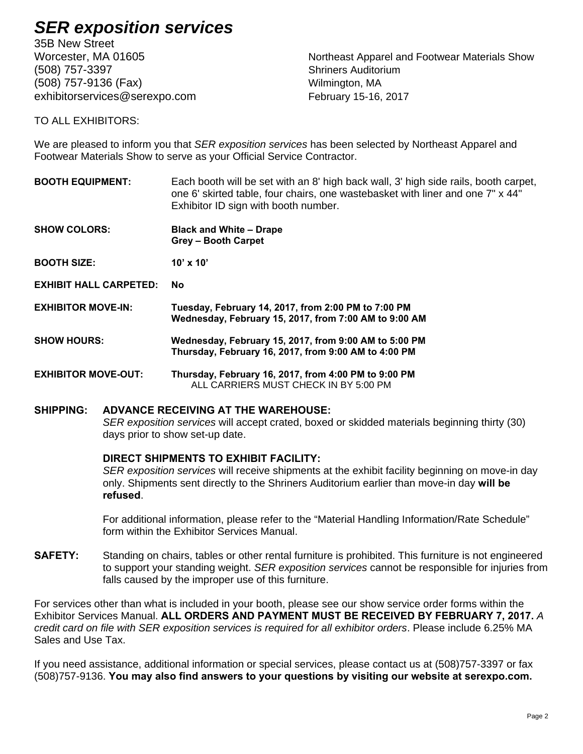35B New Street (508) 757-3397 Shriners Auditorium (508) 757-9136 (Fax) Wilmington, MA exhibitorservices@serexpo.com February 15-16, 2017

Worcester, MA 01605 Northeast Apparel and Footwear Materials Show

TO ALL EXHIBITORS:

We are pleased to inform you that *SER exposition services* has been selected by Northeast Apparel and Footwear Materials Show to serve as your Official Service Contractor.

- **BOOTH EQUIPMENT:** Each booth will be set with an 8' high back wall, 3' high side rails, booth carpet, one 6' skirted table, four chairs, one wastebasket with liner and one 7" x 44" Exhibitor ID sign with booth number.
- **SHOW COLORS: Black and White Drape Grey – Booth Carpet**
- **BOOTH SIZE:** 10' x 10'
- **EXHIBIT HALL CARPETED: No**
- **EXHIBITOR MOVE-IN: Tuesday, February 14, 2017, from 2:00 PM to 7:00 PM Wednesday, February 15, 2017, from 7:00 AM to 9:00 AM**
- **SHOW HOURS: Wednesday, February 15, 2017, from 9:00 AM to 5:00 PM Thursday, February 16, 2017, from 9:00 AM to 4:00 PM**
- **EXHIBITOR MOVE-OUT: Thursday, February 16, 2017, from 4:00 PM to 9:00 PM**  ALL CARRIERS MUST CHECK IN BY 5:00 PM

#### **SHIPPING: ADVANCE RECEIVING AT THE WAREHOUSE:**

*SER exposition services* will accept crated, boxed or skidded materials beginning thirty (30) days prior to show set-up date.

#### **DIRECT SHIPMENTS TO EXHIBIT FACILITY:**

*SER exposition services* will receive shipments at the exhibit facility beginning on move-in day only. Shipments sent directly to the Shriners Auditorium earlier than move-in day **will be refused**.

For additional information, please refer to the "Material Handling Information/Rate Schedule" form within the Exhibitor Services Manual.

**SAFETY:** Standing on chairs, tables or other rental furniture is prohibited. This furniture is not engineered to support your standing weight. *SER exposition services* cannot be responsible for injuries from falls caused by the improper use of this furniture.

For services other than what is included in your booth, please see our show service order forms within the Exhibitor Services Manual. **ALL ORDERS AND PAYMENT MUST BE RECEIVED BY FEBRUARY 7, 2017.** *A credit card on file with SER exposition services is required for all exhibitor orders*. Please include 6.25% MA Sales and Use Tax.

If you need assistance, additional information or special services, please contact us at (508)757-3397 or fax (508)757-9136. **You may also find answers to your questions by visiting our website at serexpo.com.**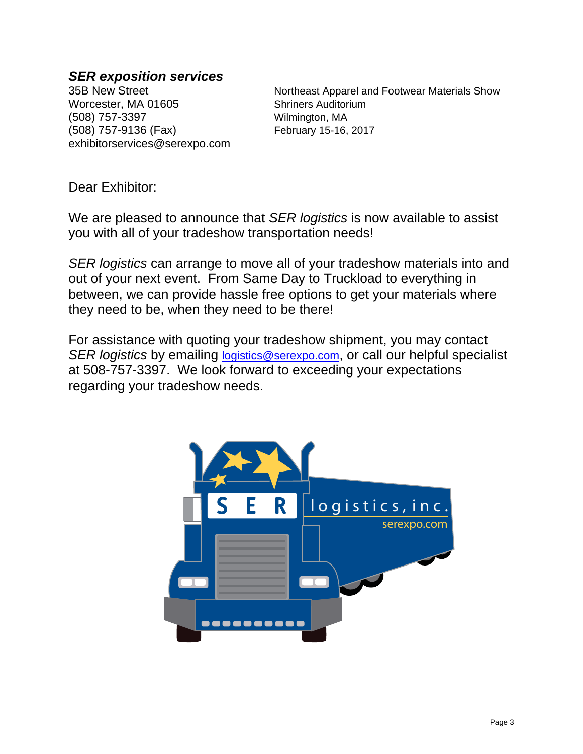Worcester, MA 01605 Shriners Auditorium (508) 757-3397 Wilmington, MA (508) 757-9136 (Fax) February 15-16, 2017 exhibitorservices@serexpo.com

35B New Street Northeast Apparel and Footwear Materials Show

Dear Exhibitor:

We are pleased to announce that *SER logistics* is now available to assist you with all of your tradeshow transportation needs!

*SER logistics* can arrange to move all of your tradeshow materials into and out of your next event. From Same Day to Truckload to everything in between, we can provide hassle free options to get your materials where they need to be, when they need to be there!

For assistance with quoting your tradeshow shipment, you may contact *SER logistics* by emailing logistics@serexpo.com, or call our helpful specialist at 508-757-3397. We look forward to exceeding your expectations regarding your tradeshow needs.

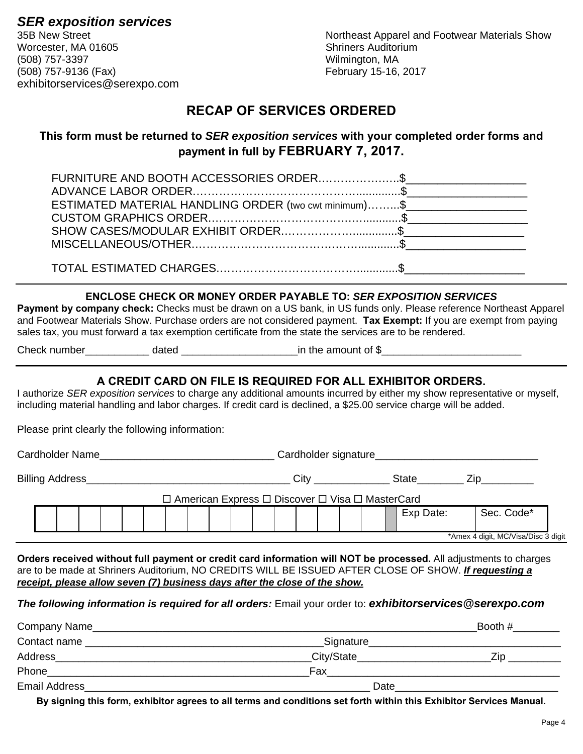Worcester, MA 01605 Shriners Auditorium (508) 757-3397 Wilmington, MA (508) 757-9136 (Fax) February 15-16, 2017 exhibitorservices@serexpo.com

**SER exposition services**<br>35B New Street 35B New Street Northeast Apparel and Footwear Materials Show

### **RECAP OF SERVICES ORDERED**

#### **This form must be returned to** *SER exposition services* **with your completed order forms and payment in full by FEBRUARY 7, 2017.**

| FURNITURE AND BOOTH ACCESSORIES ORDER\$               |  |
|-------------------------------------------------------|--|
|                                                       |  |
| ESTIMATED MATERIAL HANDLING ORDER (two cwt minimum)\$ |  |
|                                                       |  |
|                                                       |  |
|                                                       |  |
|                                                       |  |
|                                                       |  |

#### **ENCLOSE CHECK OR MONEY ORDER PAYABLE TO:** *SER EXPOSITION SERVICES*

**Payment by company check:** Checks must be drawn on a US bank, in US funds only. Please reference Northeast Apparel and Footwear Materials Show. Purchase orders are not considered payment. **Tax Exempt:** If you are exempt from paying sales tax, you must forward a tax exemption certificate from the state the services are to be rendered.

Check number\_\_\_\_\_\_\_\_\_\_\_ dated \_\_\_\_\_\_\_\_\_\_\_\_\_\_\_\_\_\_\_\_in the amount of \$\_\_\_\_\_\_\_\_\_\_\_\_\_\_\_\_\_\_\_\_\_\_\_\_

#### **A CREDIT CARD ON FILE IS REQUIRED FOR ALL EXHIBITOR ORDERS.**

I authorize *SER exposition services* to charge any additional amounts incurred by either my show representative or myself, including material handling and labor charges. If credit card is declined, a \$25.00 service charge will be added.

Please print clearly the following information:

Cardholder Name\_\_\_\_\_\_\_\_\_\_\_\_\_\_\_\_\_\_\_\_\_\_\_\_\_\_\_\_\_\_ Cardholder signature\_\_\_\_\_\_\_\_\_\_\_\_\_\_\_\_\_\_\_\_\_\_\_\_\_\_\_\_

Billing Address\_\_\_\_\_\_\_\_\_\_\_\_\_\_\_\_\_\_\_\_\_\_\_\_\_\_\_\_\_\_\_\_\_\_\_ City \_\_\_\_\_\_\_\_\_\_\_\_\_ State\_\_\_\_\_\_\_\_ Zip\_\_\_\_\_\_\_\_\_

| l American Express □ Discover □ Visa □ MasterCard |  |  |  |  |  |  |  |  |  |  |  |  |  |  |  |  |              |                           |  |
|---------------------------------------------------|--|--|--|--|--|--|--|--|--|--|--|--|--|--|--|--|--------------|---------------------------|--|
|                                                   |  |  |  |  |  |  |  |  |  |  |  |  |  |  |  |  | Exp<br>Date: | Code <sup>*</sup><br>Sec. |  |
| *Amex 4 digit, MC/Visa/Disc 3 digit               |  |  |  |  |  |  |  |  |  |  |  |  |  |  |  |  |              |                           |  |

**Orders received without full payment or credit card information will NOT be processed.** All adjustments to charges are to be made at Shriners Auditorium, NO CREDITS WILL BE ISSUED AFTER CLOSE OF SHOW. *If requesting a receipt, please allow seven (7) business days after the close of the show.* 

*The following information is required for all orders:* Email your order to: *exhibitorservices@serexpo.com*

| Company Name_        |             | Booth # |
|----------------------|-------------|---------|
| Contact name         | _Signature_ |         |
| Address              | City/State  | Zin     |
| Phone                | Fax         |         |
| <b>Email Address</b> | Date        |         |

**By signing this form, exhibitor agrees to all terms and conditions set forth within this Exhibitor Services Manual.**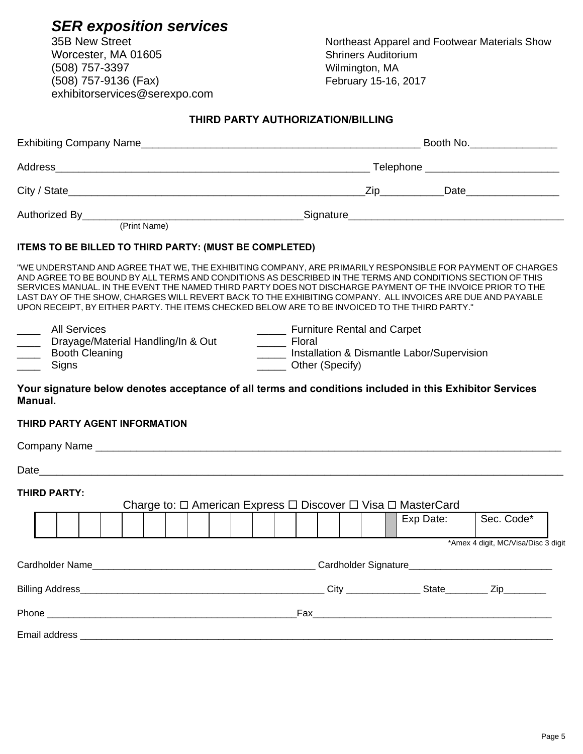Worcester, MA 01605 (508) 757-3397 Wilmington, MA (508) 757-9136 (Fax) February 15-16, 2017 exhibitorservices@serexpo.com

35B New Street **Northeast Apparel and Footwear Materials Show**<br>Worcester, MA 01605 **Northeast Auditorium** 

#### **THIRD PARTY AUTHORIZATION/BILLING**

|                                                                                                  | Booth No. _________________                                                                                                                                                                                                                                                                                                                                                                                                                                                                                                                            |
|--------------------------------------------------------------------------------------------------|--------------------------------------------------------------------------------------------------------------------------------------------------------------------------------------------------------------------------------------------------------------------------------------------------------------------------------------------------------------------------------------------------------------------------------------------------------------------------------------------------------------------------------------------------------|
|                                                                                                  |                                                                                                                                                                                                                                                                                                                                                                                                                                                                                                                                                        |
|                                                                                                  |                                                                                                                                                                                                                                                                                                                                                                                                                                                                                                                                                        |
|                                                                                                  |                                                                                                                                                                                                                                                                                                                                                                                                                                                                                                                                                        |
| ITEMS TO BE BILLED TO THIRD PARTY: (MUST BE COMPLETED)                                           |                                                                                                                                                                                                                                                                                                                                                                                                                                                                                                                                                        |
|                                                                                                  | "WE UNDERSTAND AND AGREE THAT WE, THE EXHIBITING COMPANY, ARE PRIMARILY RESPONSIBLE FOR PAYMENT OF CHARGES<br>AND AGREE TO BE BOUND BY ALL TERMS AND CONDITIONS AS DESCRIBED IN THE TERMS AND CONDITIONS SECTION OF THIS<br>SERVICES MANUAL. IN THE EVENT THE NAMED THIRD PARTY DOES NOT DISCHARGE PAYMENT OF THE INVOICE PRIOR TO THE<br>LAST DAY OF THE SHOW, CHARGES WILL REVERT BACK TO THE EXHIBITING COMPANY. ALL INVOICES ARE DUE AND PAYABLE<br>UPON RECEIPT, BY EITHER PARTY. THE ITEMS CHECKED BELOW ARE TO BE INVOICED TO THE THIRD PARTY." |
| <b>All Services</b><br>_____ Drayage/Material Handling/In & Out<br>_____ Booth Cleaning<br>Signs | _______ Furniture Rental and Carpet<br>______ Floral<br>_____ Installation & Dismantle Labor/Supervision<br>______ Other (Specify)                                                                                                                                                                                                                                                                                                                                                                                                                     |
| Manual.                                                                                          | Your signature below denotes acceptance of all terms and conditions included in this Exhibitor Services                                                                                                                                                                                                                                                                                                                                                                                                                                                |
| THIRD PARTY AGENT INFORMATION                                                                    |                                                                                                                                                                                                                                                                                                                                                                                                                                                                                                                                                        |
|                                                                                                  |                                                                                                                                                                                                                                                                                                                                                                                                                                                                                                                                                        |
|                                                                                                  |                                                                                                                                                                                                                                                                                                                                                                                                                                                                                                                                                        |
| <b>THIRD PARTY:</b>                                                                              | Charge to: □ American Express □ Discover □ Visa □ MasterCard                                                                                                                                                                                                                                                                                                                                                                                                                                                                                           |
|                                                                                                  | Sec. Code*<br>Exp Date:                                                                                                                                                                                                                                                                                                                                                                                                                                                                                                                                |
|                                                                                                  | *Amex 4 digit, MC/Visa/Disc 3 digit                                                                                                                                                                                                                                                                                                                                                                                                                                                                                                                    |
| Cardholder Name_                                                                                 |                                                                                                                                                                                                                                                                                                                                                                                                                                                                                                                                                        |
|                                                                                                  |                                                                                                                                                                                                                                                                                                                                                                                                                                                                                                                                                        |
|                                                                                                  |                                                                                                                                                                                                                                                                                                                                                                                                                                                                                                                                                        |
|                                                                                                  |                                                                                                                                                                                                                                                                                                                                                                                                                                                                                                                                                        |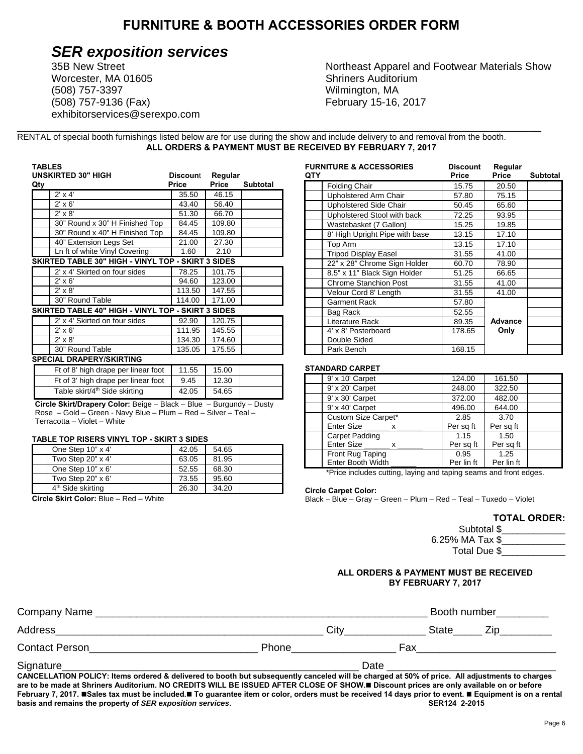#### **FURNITURE & BOOTH ACCESSORIES ORDER FORM**

# **SER exposition services**<br>35B New Street **Northeast Apparel and Footwear Materials Show**

Worcester, MA 01605 Shriners Auditorium (508) 757-3397 Wilmington, MA (508) 757-9136 (Fax) February 15-16, 2017 exhibitorservices@serexpo.com

\_\_\_\_\_\_\_\_\_\_\_\_\_\_\_\_\_\_\_\_\_\_\_\_\_\_\_\_\_\_\_\_\_\_\_\_\_\_\_\_\_\_\_\_\_\_\_\_\_\_\_\_\_\_\_\_\_\_\_\_\_\_\_\_\_\_\_\_\_\_\_\_\_\_\_\_\_\_\_\_\_\_\_\_\_\_\_\_\_\_ RENTAL of special booth furnishings listed below are for use during the show and include delivery to and removal from the booth. **ALL ORDERS & PAYMENT MUST BE RECEIVED BY FEBRUARY 7, 2017** 

| <b>UNSKIRTED 30" HIGH</b><br>Qty                   | <b>Discount</b><br><b>Price</b> | Regular<br>Price | <b>Subtotal</b> |
|----------------------------------------------------|---------------------------------|------------------|-----------------|
| $2' \times 4'$                                     | 35.50                           | 46.15            |                 |
| $2' \times 6'$                                     | 43.40                           | 56.40            |                 |
| $2' \times 8'$                                     | 51.30                           | 66.70            |                 |
| 30" Round x 30" H Finished Top                     | 84.45                           | 109.80           |                 |
| 30" Round x 40" H Finished Top                     | 84.45                           | 109.80           |                 |
| 40" Extension Legs Set                             | 21.00                           | 27.30            |                 |
| Ln ft of white Vinyl Covering                      | 1.60                            | 2.10             |                 |
| SKIRTED TABLE 30" HIGH - VINYL TOP - SKIRT 3 SIDES |                                 |                  |                 |
| 2' x 4' Skirted on four sides                      | 78.25                           | 101.75           |                 |
| $2' \times 6'$                                     | 94.60                           | 123.00           |                 |
| $2' \times 8'$                                     | 113.50                          | 147.55           |                 |
| 30" Round Table                                    | 114.00                          | 171.00           |                 |
| SKIRTED TABLE 40" HIGH - VINYL TOP - SKIRT 3 SIDES |                                 |                  |                 |
| 2' x 4' Skirted on four sides                      | 92.90                           | 120.75           |                 |
| $2' \times 6'$                                     | 111.95                          | 145.55           |                 |
| $2' \times 8'$                                     | 134.30                          | 174.60           |                 |
| 30" Round Table                                    | 135.05                          | 175.55           |                 |
| <b>SPECIAL DRAPERY/SKIRTING</b>                    |                                 |                  |                 |
| Ft of 8' high drape per linear foot                | 11.55                           | 15.00            |                 |
| Ft of 3' high drape per linear foot                | 9.45                            | 12.30            |                 |
|                                                    |                                 |                  |                 |

**Circle Skirt/Drapery Color:** Beige – Black – Blue – Burgundy – Dusty Rose – Gold – Green - Navy Blue – Plum – Red – Silver – Teal – Terracotta – Violet – White

#### **TABLE TOP RISERS VINYL TOP - SKIRT 3 SIDES**

| One Step 10" x 4"             | 42.05 | 54.65 |  |
|-------------------------------|-------|-------|--|
| Two Step 20" x 4"             | 63.05 | 81.95 |  |
| One Step $10" \times 6'$      | 52.55 | 68.30 |  |
| Two Step $20" \times 6'$      | 73.55 | 95.60 |  |
| 4 <sup>th</sup> Side skirting | 26.30 | 34.20 |  |

 **Circle Skirt Color:** Blue – Red – White

| <b>FURNITURE &amp; ACCESSORIES</b> | <b>Discount</b> | Regular        |                 |
|------------------------------------|-----------------|----------------|-----------------|
| QTY                                | Price           | Price          | <b>Subtotal</b> |
| <b>Folding Chair</b>               | 15.75           | 20.50          |                 |
| <b>Upholstered Arm Chair</b>       | 57.80           | 75.15          |                 |
| Upholstered Side Chair             | 50.45           | 65.60          |                 |
| Upholstered Stool with back        | 72.25           | 93.95          |                 |
| Wastebasket (7 Gallon)             | 15.25           | 19.85          |                 |
| 8' High Upright Pipe with base     | 13.15           | 17.10          |                 |
| Top Arm                            | 13.15           | 17.10          |                 |
| <b>Tripod Display Easel</b>        | 31.55           | 41.00          |                 |
| 22" x 28" Chrome Sign Holder       | 60.70           | 78.90          |                 |
| 8.5" x 11" Black Sign Holder       | 51.25           | 66.65          |                 |
| <b>Chrome Stanchion Post</b>       | 31.55           | 41.00          |                 |
| Velour Cord 8' Length              | 31.55           | 41.00          |                 |
| Garment Rack                       | 57.80           |                |                 |
| Bag Rack                           | 52.55           |                |                 |
| Literature Rack                    | 89.35           | <b>Advance</b> |                 |
| 4' x 8' Posterboard                | 178.65          | Only           |                 |
| Double Sided                       |                 |                |                 |
| Park Bench                         | 168.15          |                |                 |

#### **STANDARD CARPET**

| 9' x 10' Carpet            | 124.00     | 161.50     |  |
|----------------------------|------------|------------|--|
| 9' x 20' Carpet            | 248.00     | 322.50     |  |
| 9' x 30' Carpet            | 372.00     | 482.00     |  |
| 9' x 40' Carpet            | 496.00     | 644.00     |  |
| Custom Size Carpet*        | 2.85       | 3.70       |  |
| Enter Size<br>$\mathsf{X}$ | Per sq ft  | Per sq ft  |  |
| <b>Carpet Padding</b>      | 1.15       | 1.50       |  |
| Enter Size<br>X —          | Per sq ft  | Per sq ft  |  |
| Front Rug Taping           | 0.95       | 1.25       |  |
| <b>Enter Booth Width</b>   | Per lin ft | Per lin ft |  |

\*Price includes cutting, laying and taping seams and front edges.

#### **Circle Carpet Color:**

Black – Blue – Gray – Green – Plum – Red – Teal – Tuxedo – Violet

#### **TOTAL ORDER:**

| Subtotal \$     |  |
|-----------------|--|
| 6.25% MA Tax \$ |  |
| Total Due \$    |  |

#### **ALL ORDERS & PAYMENT MUST BE RECEIVED BY FEBRUARY 7, 2017**

| Company Name                                                                                                                                               |              |      | Booth number |     |  |
|------------------------------------------------------------------------------------------------------------------------------------------------------------|--------------|------|--------------|-----|--|
| Address                                                                                                                                                    |              | Citv | State        | ∠ın |  |
| <b>Contact Person</b>                                                                                                                                      | <b>Phone</b> |      | Fax          |     |  |
| Signature<br>CANCELLATION POLICY: Items ordered & delivered to booth but subsequently canceled will be charged at 50% of price. All adjustments to charges |              | Date |              |     |  |

**CANCELLATION POLICY: Items ordered & delivered to booth but subsequently canceled will be charged at 50% of price. All adjustments to charges are to be made at Shriners Auditorium. NO CREDITS WILL BE ISSUED AFTER CLOSE OF SHOW. Discount prices are only available on or before February 7, 2017. Sales tax must be included. To guarantee item or color, orders must be received 14 days prior to event. Equipment is on a rental basis and remains the property of** *SER exposition services***. SER124 2-2015 <b>SER124 2-2015**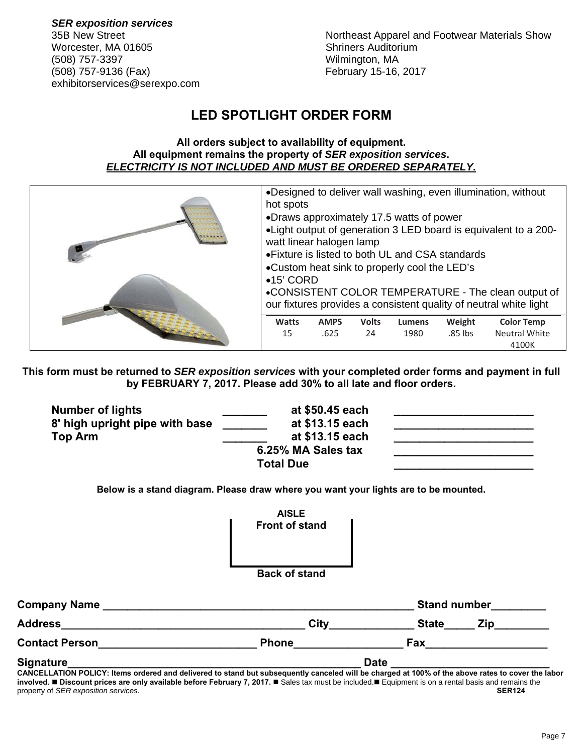*SER exposition services* Worcester, MA 01605 Shriners Auditorium (508) 757-3397 Wilmington, MA (508) 757-9136 (Fax) February 15-16, 2017 exhibitorservices@serexpo.com

35B New Street Northeast Apparel and Footwear Materials Show

## **LED SPOTLIGHT ORDER FORM**

#### **All orders subject to availability of equipment. All equipment remains the property of** *SER exposition services***.**  *ELECTRICITY IS NOT INCLUDED AND MUST BE ORDERED SEPARATELY.*

| hot spots                                                                                                                                                                                                                                    |                     |                    |                       |                   | •Designed to deliver wall washing, even illumination, without                                                            |  |
|----------------------------------------------------------------------------------------------------------------------------------------------------------------------------------------------------------------------------------------------|---------------------|--------------------|-----------------------|-------------------|--------------------------------------------------------------------------------------------------------------------------|--|
| •Draws approximately 17.5 watts of power<br>• Light output of generation 3 LED board is equivalent to a 200-<br>watt linear halogen lamp<br>• Fixture is listed to both UL and CSA standards<br>•Custom heat sink to properly cool the LED's |                     |                    |                       |                   |                                                                                                                          |  |
| $•15'$ CORD                                                                                                                                                                                                                                  |                     |                    |                       |                   | •CONSISTENT COLOR TEMPERATURE - The clean output of<br>our fixtures provides a consistent quality of neutral white light |  |
| Watts<br>15                                                                                                                                                                                                                                  | <b>AMPS</b><br>.625 | <b>Volts</b><br>24 | <b>Lumens</b><br>1980 | Weight<br>.85 lbs | <b>Color Temp</b><br><b>Neutral White</b>                                                                                |  |
|                                                                                                                                                                                                                                              |                     |                    |                       |                   | 4100K                                                                                                                    |  |

**This form must be returned to** *SER exposition services* **with your completed order forms and payment in full by FEBRUARY 7, 2017. Please add 30% to all late and floor orders.** 

| <b>Number of lights</b>                                                                                                                           | at \$50.45 each                                                                     |                     |
|---------------------------------------------------------------------------------------------------------------------------------------------------|-------------------------------------------------------------------------------------|---------------------|
| 8' high upright pipe with base                                                                                                                    | at \$13.15 each                                                                     |                     |
| <b>Top Arm</b>                                                                                                                                    | at \$13.15 each                                                                     |                     |
|                                                                                                                                                   | 6.25% MA Sales tax                                                                  |                     |
|                                                                                                                                                   | <b>Total Due</b>                                                                    |                     |
|                                                                                                                                                   | Below is a stand diagram. Please draw where you want your lights are to be mounted. |                     |
|                                                                                                                                                   | <b>AISLE</b>                                                                        |                     |
|                                                                                                                                                   | <b>Front of stand</b>                                                               |                     |
|                                                                                                                                                   | <b>Back of stand</b>                                                                |                     |
|                                                                                                                                                   |                                                                                     | <b>Stand number</b> |
|                                                                                                                                                   | City                                                                                | State Zip           |
|                                                                                                                                                   | <b>Phone</b>                                                                        | Fax                 |
| Signature_                                                                                                                                        |                                                                                     | <b>Date</b>         |
| CANCELLATION POLICY: Items ordered and delivered to stand but subsequently canceled will be charged at 100% of the above rates to cover the labor |                                                                                     |                     |

**involved.** ■ Discount prices are only available before February 7, 2017. ■ Sales tax must be included.■ Equipment is on a rental basis and remains the property of *SER exposition services*. **SER124**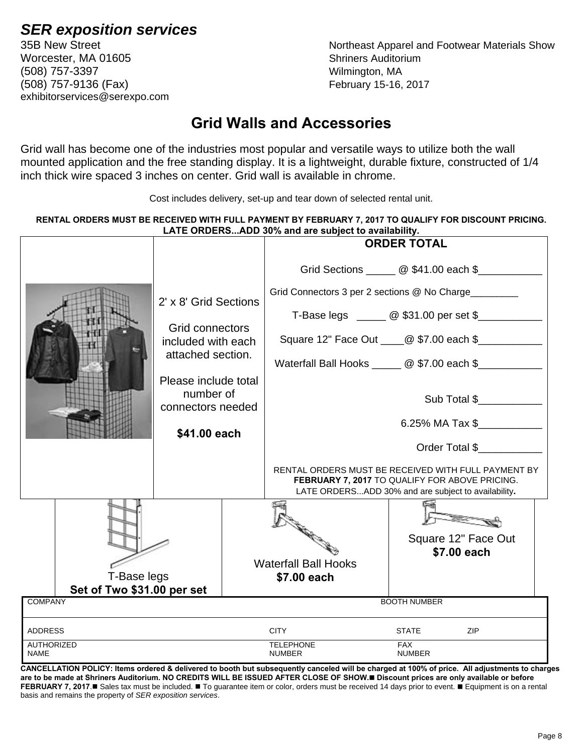# **SER exposition services**<br>35B New Street **Northeast Apparel and Footwear Materials Show**

Worcester, MA 01605 Shriners Auditorium (508) 757-3397 Wilmington, MA (508) 757-9136 (Fax) February 15-16, 2017 exhibitorservices@serexpo.com

## **Grid Walls and Accessories**

Grid wall has become one of the industries most popular and versatile ways to utilize both the wall mounted application and the free standing display. It is a lightweight, durable fixture, constructed of 1/4 inch thick wire spaced 3 inches on center. Grid wall is available in chrome.

Cost includes delivery, set-up and tear down of selected rental unit.

#### **RENTAL ORDERS MUST BE RECEIVED WITH FULL PAYMENT BY FEBRUARY 7, 2017 TO QUALIFY FOR DISCOUNT PRICING.**  LATE ORDERS ADD 30% and are subject to availability.

|                                       |                                       | LATE ORDEROADD 0070 and are subject to availability.                                                                                                         | <b>ORDER TOTAL</b> |                     |
|---------------------------------------|---------------------------------------|--------------------------------------------------------------------------------------------------------------------------------------------------------------|--------------------|---------------------|
|                                       |                                       |                                                                                                                                                              |                    |                     |
|                                       |                                       | Grid Sections <u>2006</u> \$41.00 each \$                                                                                                                    |                    |                     |
|                                       | 2' x 8' Grid Sections                 | Grid Connectors 3 per 2 sections @ No Charge________                                                                                                         |                    |                     |
|                                       |                                       | T-Base legs ______ @ \$31.00 per set \$__________                                                                                                            |                    |                     |
|                                       | Grid connectors<br>included with each | Square 12" Face Out ____@ \$7.00 each \$____________                                                                                                         |                    |                     |
|                                       | attached section.                     | Waterfall Ball Hooks ______ @ \$7.00 each \$_________                                                                                                        |                    |                     |
|                                       | Please include total                  |                                                                                                                                                              |                    |                     |
|                                       | number of<br>connectors needed        |                                                                                                                                                              |                    | Sub Total \$        |
|                                       |                                       |                                                                                                                                                              |                    | 6.25% MA Tax \$     |
|                                       | \$41.00 each                          |                                                                                                                                                              |                    |                     |
|                                       |                                       |                                                                                                                                                              |                    | Order Total \$      |
|                                       |                                       | RENTAL ORDERS MUST BE RECEIVED WITH FULL PAYMENT BY<br>FEBRUARY 7, 2017 TO QUALIFY FOR ABOVE PRICING.<br>LATE ORDERSADD 30% and are subject to availability. |                    |                     |
|                                       |                                       |                                                                                                                                                              |                    |                     |
|                                       |                                       |                                                                                                                                                              |                    |                     |
|                                       |                                       |                                                                                                                                                              |                    | Square 12" Face Out |
|                                       |                                       |                                                                                                                                                              |                    | \$7.00 each         |
|                                       |                                       | <b>Waterfall Ball Hooks</b>                                                                                                                                  |                    |                     |
| T-Base legs                           |                                       | \$7.00 each                                                                                                                                                  |                    |                     |
| Set of Two \$31.00 per set            |                                       |                                                                                                                                                              |                    |                     |
| <b>COMPANY</b><br><b>BOOTH NUMBER</b> |                                       |                                                                                                                                                              |                    |                     |
| <b>ADDRESS</b>                        |                                       | <b>CITY</b>                                                                                                                                                  | <b>STATE</b>       | <b>ZIP</b>          |
| <b>AUTHORIZED</b>                     |                                       | <b>TELEPHONE</b>                                                                                                                                             | FAX                |                     |

**CANCELLATION POLICY: Items ordered & delivered to booth but subsequently canceled will be charged at 100% of price. All adjustments to charges are to be made at Shriners Auditorium. NO CREDITS WILL BE ISSUED AFTER CLOSE OF SHOW. Discount prices are only available or before FEBRUARY 7, 2017.** Sales tax must be included. ■ To guarantee item or color, orders must be received 14 days prior to event. ■ Equipment is on a rental basis and remains the property of *SER exposition services*.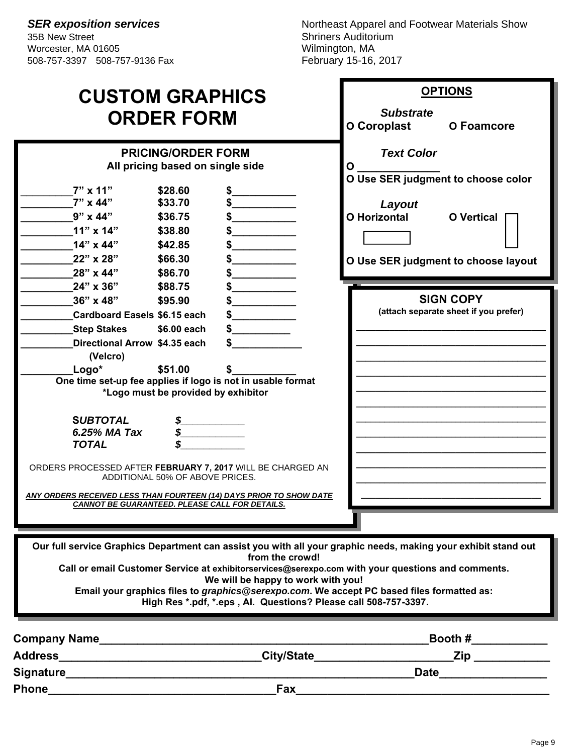**SER exposition services**<br>35B New Street **Northeast Apparel and Footwear Materials Show**<br>Shriners Auditorium Shriners Auditorium<br>Wilmington, MA

| <b>CUSTOM GRAPHICS</b><br><b>ORDER FORM</b>                                                                                                                                                                                                                                                                                                                                                                                                                                                              | <b>OPTIONS</b><br><b>Substrate</b><br>O Coroplast<br>O Foamcore                                                                                           |
|----------------------------------------------------------------------------------------------------------------------------------------------------------------------------------------------------------------------------------------------------------------------------------------------------------------------------------------------------------------------------------------------------------------------------------------------------------------------------------------------------------|-----------------------------------------------------------------------------------------------------------------------------------------------------------|
| <b>PRICING/ORDER FORM</b><br>All pricing based on single side<br>$7" \times 11"$<br>\$28.60<br>$7" \times 44"$<br>\$33.70<br>$9" \times 44"$<br>\$36.75<br>$11"$ x $14"$<br>\$38.80<br>14" x 44"<br>\$42.85<br>22" x 28"<br>\$66.30<br>28" x 44"<br>\$86.70<br>24" x 36"<br>\$88.75                                                                                                                                                                                                                      | <b>Text Color</b><br>O<br>O Use SER judgment to choose color<br>Layout<br><b>O</b> Horizontal<br><b>O</b> Vertical<br>O Use SER judgment to choose layout |
| 36" x 48"<br>\$95.90<br><b>Cardboard Easels \$6.15 each</b><br><b>Step Stakes</b><br>\$6.00 each<br>Directional Arrow \$4.35 each<br>(Velcro)<br>Logo*<br>\$51.00<br>One time set-up fee applies if logo is not in usable format<br>*Logo must be provided by exhibitor<br><b>SUBTOTAL</b><br>6.25% MA Tax<br>\$<br><b>TOTAL</b><br>ORDERS PROCESSED AFTER FEBRUARY 7, 2017 WILL BE CHARGED AN<br>ADDITIONAL 50% OF ABOVE PRICES.<br>ANY ORDERS RECEIVED LESS THAN FOURTEEN (14) DAYS PRIOR TO SHOW DATE | <b>SIGN COPY</b><br>(attach separate sheet if you prefer)                                                                                                 |
| <b>CANNOT BE GUARANTEED. PLEASE CALL FOR DETAILS.</b><br>Our full service Graphics Department can assist you with all your graphic needs, making your exhibit stand out<br>from the crowd!<br>Call or email Customer Service at exhibitorservices@serexpo.com with your questions and comments.<br>We will be happy to work with you!<br>Email your graphics files to graphics@serexpo.com. We accept PC based files formatted as:<br>High Res *.pdf, *.eps, Al. Questions? Please call 508-757-3397.    |                                                                                                                                                           |

| <b>Company Name</b> |                   | Booth #     |  |
|---------------------|-------------------|-------------|--|
| <b>Address</b>      | <b>City/State</b> | Zip         |  |
| Signature           |                   | <b>Date</b> |  |
| <b>Phone</b>        | Fax               |             |  |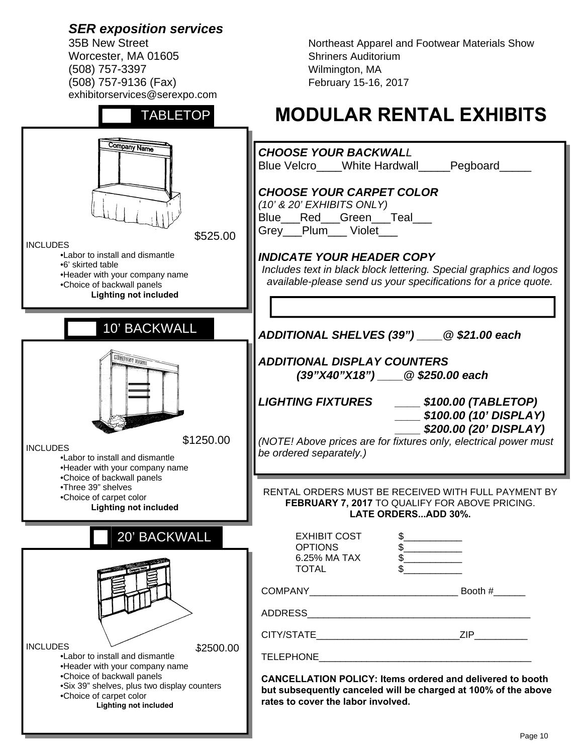Worcester, MA 01605 Shriners Auditorium (508) 757-3397 Wilmington, MA (508) 757-9136 (Fax) February 15-16, 2017 exhibitorservices@serexpo.com

TABLETOP

35B New Street **Northeast Apparel and Footwear Materials Show** 

# **MODULAR RENTAL EXHIBITS**

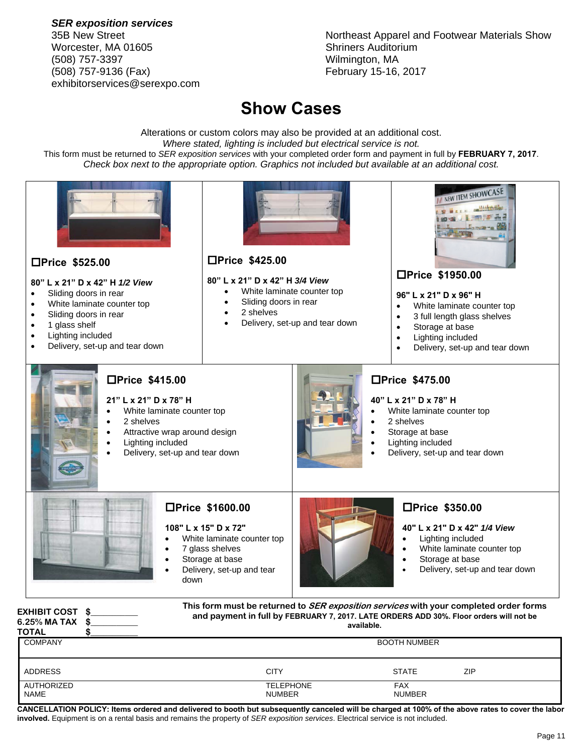*SER exposition services* Worcester, MA 01605 Shriners Auditorium (508) 757-3397 Wilmington, MA (508) 757-9136 (Fax) February 15-16, 2017 exhibitorservices@serexpo.com

35B New Street Northeast Apparel and Footwear Materials Show

## **Show Cases**

Alterations or custom colors may also be provided at an additional cost. *Where stated, lighting is included but electrical service is not.* This form must be returned to *SER exposition services* with your completed order form and payment in full by **FEBRUARY 7, 2017**. *Check box next to the appropriate option. Graphics not included but available at an additional cost.* 



| <b>ADDRESS</b>            | CITY                              | <b>STATE</b>                | ZIP |
|---------------------------|-----------------------------------|-----------------------------|-----|
| AUTHORIZED<br><b>NAME</b> | <b>TELEPHONE</b><br><b>NUMBER</b> | <b>FAX</b><br><b>NUMBER</b> |     |

**CANCELLATION POLICY: Items ordered and delivered to booth but subsequently canceled will be charged at 100% of the above rates to cover the labor involved.** Equipment is on a rental basis and remains the property of *SER exposition services*. Electrical service is not included.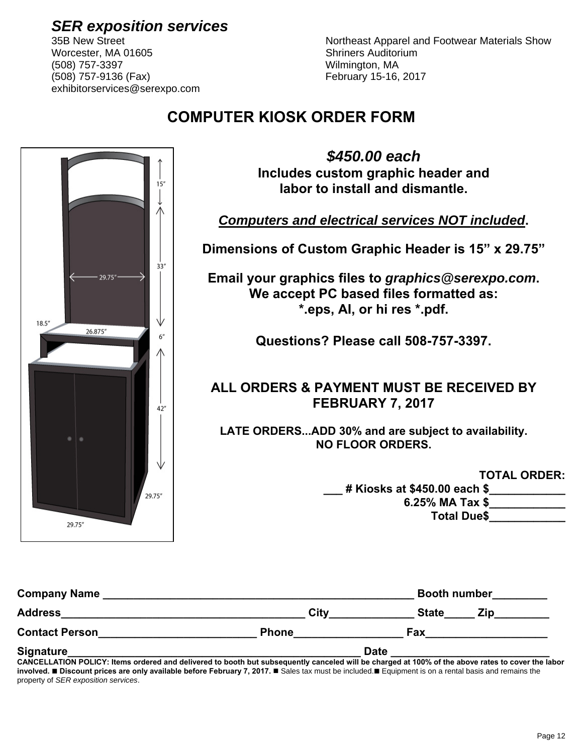Worcester, MA 01605 Shriners Auditorium (508) 757-3397 Wilmington, MA (508) 757-9136 (Fax) February 15-16, 2017 exhibitorservices@serexpo.com

**SER exposition services**<br>35B New Street **Northeast Apparel and Footwear Materials Show** 

## **COMPUTER KIOSK ORDER FORM**



| <b>Company Name</b>   |              | <b>Booth number</b> |
|-----------------------|--------------|---------------------|
| <b>Address</b>        | City         | <b>State</b><br>Zin |
| <b>Contact Person</b> | <b>Phone</b> | Fax                 |
| Signature             | <b>Date</b>  |                     |

**CANCELLATION POLICY: Items ordered and delivered to booth but subsequently canceled will be charged at 100% of the above rates to cover the labor involved.** ■ Discount prices are only available before February 7, 2017. ■ Sales tax must be included.■ Equipment is on a rental basis and remains the property of *SER exposition services*.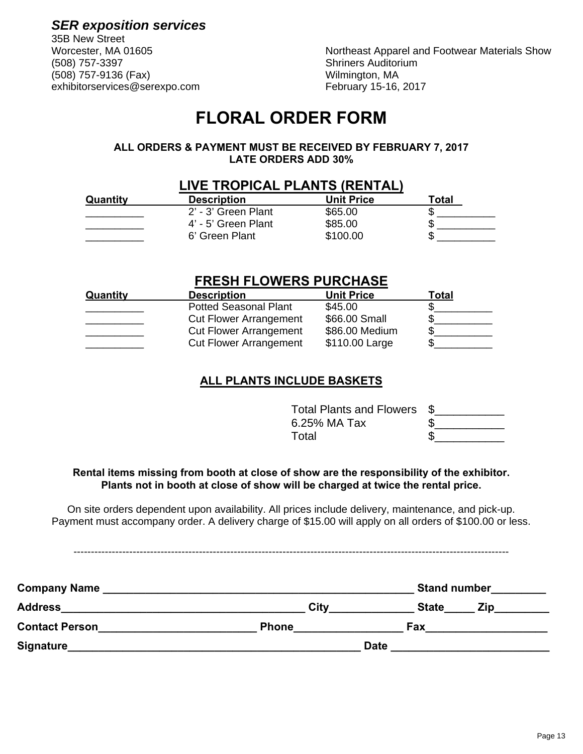*SER exposition services* 35B New Street

(508) 757-9136 (Fax) Wilmington, MA exhibitorservices@serexpo.com February 15-16, 2017

Worcester, MA 01605 Northeast Apparel and Footwear Materials Show<br>(508) 757-3397 (508) 67-3397 Shriners Auditorium

## **FLORAL ORDER FORM**

#### **ALL ORDERS & PAYMENT MUST BE RECEIVED BY FEBRUARY 7, 2017 LATE ORDERS ADD 30%**

|          | <b>LIVE TROPICAL PLANTS (RENTAL)</b> |            |       |
|----------|--------------------------------------|------------|-------|
| Quantity | <b>Description</b>                   | Unit Price | Гоtal |
|          | 2' - 3' Green Plant                  | \$65.00    |       |
|          | 4' - 5' Green Plant                  | \$85.00    |       |
|          | 6' Green Plant                       | \$100.00   |       |

#### **FRESH FLOWERS PURCHASE**

| Quantity | <b>Description</b>            | <b>Unit Price</b> | Total |
|----------|-------------------------------|-------------------|-------|
|          | <b>Potted Seasonal Plant</b>  | \$45.00           |       |
|          | <b>Cut Flower Arrangement</b> | \$66.00 Small     |       |
|          | <b>Cut Flower Arrangement</b> | \$86.00 Medium    |       |
|          | <b>Cut Flower Arrangement</b> | \$110.00 Large    |       |

#### **ALL PLANTS INCLUDE BASKETS**

Total Plants and Flowers \$\_\_\_\_\_\_\_\_\_\_\_ 6.25% MA Tax  $\qquad \qquad$  \$ Total \$

#### **Rental items missing from booth at close of show are the responsibility of the exhibitor. Plants not in booth at close of show will be charged at twice the rental price.**

On site orders dependent upon availability. All prices include delivery, maintenance, and pick-up. Payment must accompany order. A delivery charge of \$15.00 will apply on all orders of \$100.00 or less.

-----------------------------------------------------------------------------------------------------------------------------

| <b>Company Name</b>   |              | <b>Stand number</b> |
|-----------------------|--------------|---------------------|
| <b>Address</b>        | City         | <b>State</b><br>Zip |
| <b>Contact Person</b> | <b>Phone</b> | Fax                 |
| Signature             | <b>Date</b>  |                     |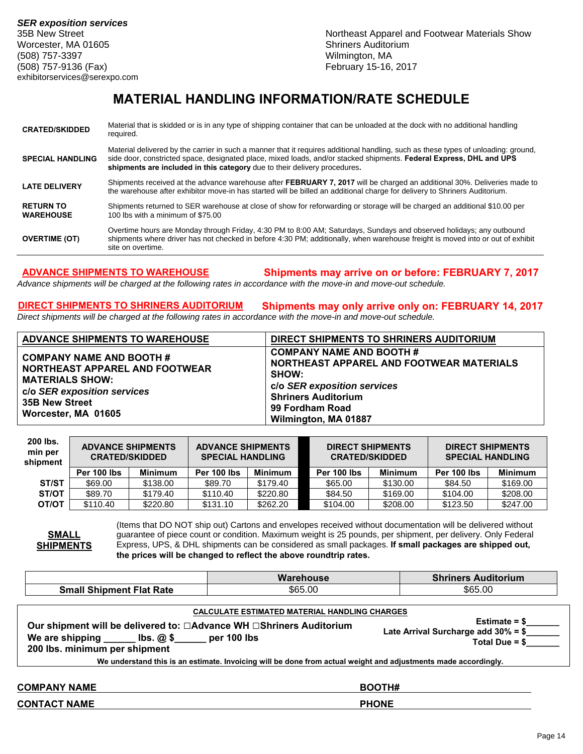35B New Street Northeast Apparel and Footwear Materials Show

### **MATERIAL HANDLING INFORMATION/RATE SCHEDULE**

| <b>CRATED/SKIDDED</b>                | Material that is skidded or is in any type of shipping container that can be unloaded at the dock with no additional handling<br>required.                                                                                                                                                                                             |
|--------------------------------------|----------------------------------------------------------------------------------------------------------------------------------------------------------------------------------------------------------------------------------------------------------------------------------------------------------------------------------------|
| <b>SPECIAL HANDLING</b>              | Material delivered by the carrier in such a manner that it requires additional handling, such as these types of unloading: ground,<br>side door, constricted space, designated place, mixed loads, and/or stacked shipments. Federal Express, DHL and UPS<br>shipments are included in this category due to their delivery procedures. |
| <b>LATE DELIVERY</b>                 | Shipments received at the advance warehouse after FEBRUARY 7, 2017 will be charged an additional 30%. Deliveries made to<br>the warehouse after exhibitor move-in has started will be billed an additional charge for delivery to Shriners Auditorium.                                                                                 |
| <b>RETURN TO</b><br><b>WAREHOUSE</b> | Shipments returned to SER warehouse at close of show for reforwarding or storage will be charged an additional \$10.00 per<br>100 lbs with a minimum of \$75.00                                                                                                                                                                        |
| <b>OVERTIME (OT)</b>                 | Overtime hours are Monday through Friday, 4:30 PM to 8:00 AM; Saturdays, Sundays and observed holidays; any outbound<br>shipments where driver has not checked in before 4:30 PM; additionally, when warehouse freight is moved into or out of exhibit<br>site on overtime.                                                            |

**ADVANCE SHIPMENTS TO WAREHOUSE Shipments may arrive on or before: FEBRUARY 7, 2017** 

**Warehouse Shriners Auditorium** 

*Advance shipments will be charged at the following rates in accordance with the move-in and move-out schedule.* 

## **DIRECT SHIPMENTS TO SHRINERS AUDITORIUM Shipments may only arrive only on: FEBRUARY 14, 2017**

*Direct shipments will be charged at the following rates in accordance with the move-in and move-out schedule.* 

| <b>ADVANCE SHIPMENTS TO WAREHOUSE</b>                                                                                                                               | DIRECT SHIPMENTS TO SHRINERS AUDITORIUM                                                                                                                                                            |
|---------------------------------------------------------------------------------------------------------------------------------------------------------------------|----------------------------------------------------------------------------------------------------------------------------------------------------------------------------------------------------|
| <b>COMPANY NAME AND BOOTH #</b><br>NORTHEAST APPAREL AND FOOTWEAR<br><b>MATERIALS SHOW:</b><br>c/o SER exposition services<br>35B New Street<br>Worcester, MA 01605 | <b>COMPANY NAME AND BOOTH#</b><br>NORTHEAST APPAREL AND FOOTWEAR MATERIALS<br><b>SHOW:</b><br>c/o SER exposition services<br><b>Shriners Auditorium</b><br>99 Fordham Road<br>Wilmington, MA 01887 |

| 200 lbs.<br>min per<br>shipment | <b>ADVANCE SHIPMENTS</b><br><b>CRATED/SKIDDED</b> |                | <b>ADVANCE SHIPMENTS</b><br><b>SPECIAL HANDLING</b> |                | <b>DIRECT SHIPMENTS</b><br><b>CRATED/SKIDDED</b> |                | <b>DIRECT SHIPMENTS</b><br><b>SPECIAL HANDLING</b> |          |
|---------------------------------|---------------------------------------------------|----------------|-----------------------------------------------------|----------------|--------------------------------------------------|----------------|----------------------------------------------------|----------|
|                                 | Per 100 lbs                                       | <b>Minimum</b> | Per 100 lbs                                         | <b>Minimum</b> | Per 100 lbs                                      | <b>Minimum</b> | Per 100 lbs                                        | Minimum  |
| ST/ST                           | \$69.00                                           | \$138.00       | \$89.70                                             | \$179.40       | \$65.00                                          | \$130.00       | \$84.50                                            | \$169.00 |
| ST/OT                           | \$89.70                                           | \$179.40       | \$110.40                                            | \$220.80       | \$84.50                                          | \$169.00       | \$104.00                                           | \$208.00 |
| <b>OT/OT</b>                    | \$110.40                                          | \$220.80       | \$131.10                                            | \$262.20       | \$104.00                                         | \$208.00       | \$123.50                                           | \$247.00 |

**SMALL SHIPMENTS** (Items that DO NOT ship out) Cartons and envelopes received without documentation will be delivered without guarantee of piece count or condition. Maximum weight is 25 pounds, per shipment, per delivery. Only Federal Express, UPS, & DHL shipments can be considered as small packages. **If small packages are shipped out, the prices will be changed to reflect the above roundtrip rates.**

| <b>Small Shipment Flat Rate</b>                                                                                                                                | \$65.00                                                                                                        | \$65.00                                                                     |
|----------------------------------------------------------------------------------------------------------------------------------------------------------------|----------------------------------------------------------------------------------------------------------------|-----------------------------------------------------------------------------|
|                                                                                                                                                                | <b>CALCULATE ESTIMATED MATERIAL HANDLING CHARGES</b>                                                           |                                                                             |
| Our shipment will be delivered to: □Advance WH □Shriners Auditorium<br>We are shipping $\qquad$ lbs. $@$ \$ _____ per 100 lbs<br>200 lbs. minimum per shipment |                                                                                                                | Estimate $=$ \$<br>Late Arrival Surcharge add $30\% = $$<br>$Total Due = $$ |
|                                                                                                                                                                | We understand this is an estimate. Invoicing will be done from actual weight and adjustments made accordingly. |                                                                             |
| <b>COMPANY NAME</b>                                                                                                                                            |                                                                                                                | BOOTH#                                                                      |
| <b>CONTACT NAME</b>                                                                                                                                            |                                                                                                                | <b>PHONE</b>                                                                |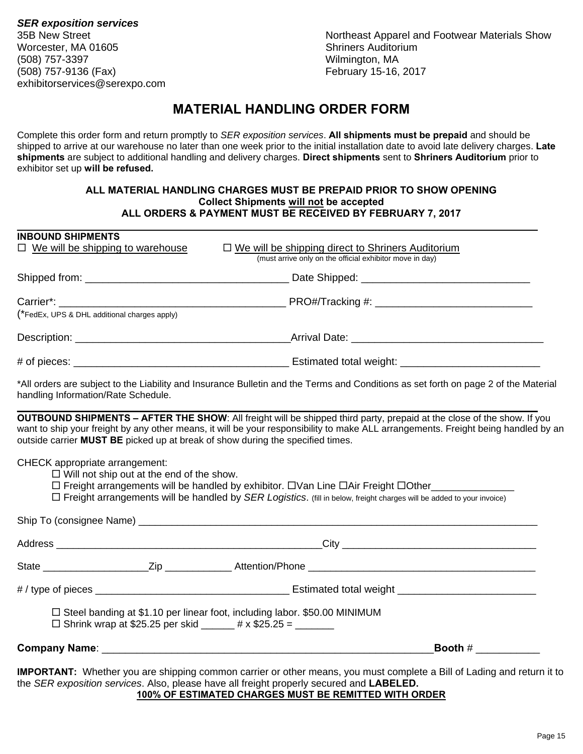*SER exposition services* Worcester, MA 01605 Shriners Auditorium (508) 757-3397 Wilmington, MA (508) 757-9136 (Fax) February 15-16, 2017 exhibitorservices@serexpo.com

35B New Street Northeast Apparel and Footwear Materials Show

#### **MATERIAL HANDLING ORDER FORM**

Complete this order form and return promptly to *SER exposition services*. **All shipments must be prepaid** and should be shipped to arrive at our warehouse no later than one week prior to the initial installation date to avoid late delivery charges. **Late shipments** are subject to additional handling and delivery charges. **Direct shipments** sent to **Shriners Auditorium** prior to exhibitor set up **will be refused.**

#### **ALL MATERIAL HANDLING CHARGES MUST BE PREPAID PRIOR TO SHOW OPENING Collect Shipments will not be accepted ALL ORDERS & PAYMENT MUST BE RECEIVED BY FEBRUARY 7, 2017**

| <b>INBOUND SHIPMENTS</b>                                                                                                                                                                                                                                                                                                  |                                                                                                                                     |
|---------------------------------------------------------------------------------------------------------------------------------------------------------------------------------------------------------------------------------------------------------------------------------------------------------------------------|-------------------------------------------------------------------------------------------------------------------------------------|
| $\Box$ We will be shipping to warehouse                                                                                                                                                                                                                                                                                   | $\Box$ We will be shipping direct to Shriners Auditorium<br>(must arrive only on the official exhibitor move in day)                |
|                                                                                                                                                                                                                                                                                                                           |                                                                                                                                     |
| Carrier*:<br>(*FedEx, UPS & DHL additional charges apply)                                                                                                                                                                                                                                                                 |                                                                                                                                     |
|                                                                                                                                                                                                                                                                                                                           |                                                                                                                                     |
|                                                                                                                                                                                                                                                                                                                           |                                                                                                                                     |
|                                                                                                                                                                                                                                                                                                                           |                                                                                                                                     |
| handling Information/Rate Schedule.                                                                                                                                                                                                                                                                                       | *All orders are subject to the Liability and Insurance Bulletin and the Terms and Conditions as set forth on page 2 of the Material |
| <b>OUTBOUND SHIPMENTS – AFTER THE SHOW:</b> All freight will be shipped third party, prepaid at the close of the show. If you<br>outside carrier MUST BE picked up at break of show during the specified times.                                                                                                           | want to ship your freight by any other means, it will be your responsibility to make ALL arrangements. Freight being handled by an  |
| CHECK appropriate arrangement:<br>$\Box$ Will not ship out at the end of the show.<br>□ Freight arrangements will be handled by exhibitor. □Van Line □Air Freight □Other_________________<br>$\Box$ Freight arrangements will be handled by SER Logistics. (fill in below, freight charges will be added to your invoice) |                                                                                                                                     |
|                                                                                                                                                                                                                                                                                                                           |                                                                                                                                     |
|                                                                                                                                                                                                                                                                                                                           |                                                                                                                                     |
|                                                                                                                                                                                                                                                                                                                           |                                                                                                                                     |
|                                                                                                                                                                                                                                                                                                                           |                                                                                                                                     |
| $\Box$ Steel banding at \$1.10 per linear foot, including labor. \$50.00 MINIMUM<br>□ Shrink wrap at \$25.25 per skid ______ # x \$25.25 = ______                                                                                                                                                                         |                                                                                                                                     |
| Company Name: <u>Company Name:</u> Company Name: Company Name: Company Name: Company Name: Company Name: Company Name: Company Name: Company Name: Company Name: Company Name: Company Name: Company Name: Company Name: Company Na                                                                                       | Booth $#$                                                                                                                           |
|                                                                                                                                                                                                                                                                                                                           | <b>IMPORTANT:</b> Whether you are shipping common carrier or other means, you must complete a Bill of Lading and return it to       |

the *SER exposition services*. Also, please have all freight properly secured and **LABELED. 100% OF ESTIMATED CHARGES MUST BE REMITTED WITH ORDER**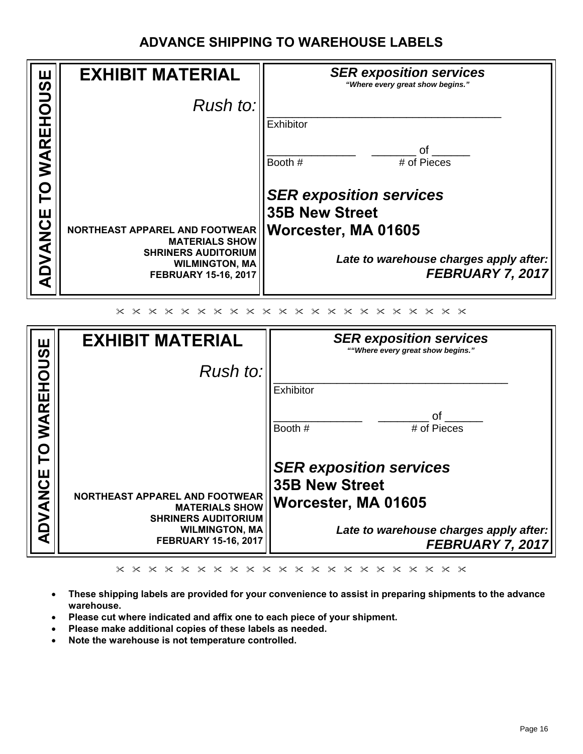## **ADVANCE SHIPPING TO WAREHOUSE LABELS**

|              | <b>EXHIBIT MATERIAL</b>                                                               | <b>SER exposition services</b><br>"Where every great show begins." |
|--------------|---------------------------------------------------------------------------------------|--------------------------------------------------------------------|
| <b>HOUSE</b> | Rush to:                                                                              |                                                                    |
|              |                                                                                       | Exhibitor                                                          |
| WAREI        |                                                                                       | ∩f<br># of Pieces<br>Booth #                                       |
| P            |                                                                                       | <b>SER exposition services</b>                                     |
|              |                                                                                       | <b>35B New Street</b>                                              |
| DVANCE       | NORTHEAST APPAREL AND FOOTWEAR<br><b>MATERIALS SHOW</b><br><b>SHRINERS AUDITORIUM</b> | Worcester, MA 01605                                                |
|              | <b>WILMINGTON, MA</b><br><b>FEBRUARY 15-16, 2017</b>                                  | Late to warehouse charges apply after:<br><b>FEBRUARY 7, 2017</b>  |
|              |                                                                                       |                                                                    |

| Щ             | <b>EXHIBIT MATERIAL</b>                              | <b>SER exposition services</b><br>""Where every great show begins." |
|---------------|------------------------------------------------------|---------------------------------------------------------------------|
| ous           | Rush to:                                             |                                                                     |
|               |                                                      | Exhibitor                                                           |
| <b>WAREH</b>  |                                                      | ∩f<br>Booth #<br># of Pieces                                        |
|               |                                                      |                                                                     |
|               |                                                      | <b>SER exposition services</b>                                      |
|               | <b>NORTHEAST APPAREL AND FOOTWEAR</b>                | <b>35B New Street</b>                                               |
| <b>DVANCE</b> | <b>MATERIALS SHOW</b><br><b>SHRINERS AUDITORIUM</b>  | Worcester, MA 01605                                                 |
|               | <b>WILMINGTON, MA</b><br><b>FEBRUARY 15-16, 2017</b> | Late to warehouse charges apply after:                              |
|               |                                                      | FEBRUARY 7, 2017                                                    |

 $\times\hspace{0.1cm} \times \hspace{0.1cm} \times\hspace{0.1cm} \times\hspace{0.1cm} \times\hspace{0.1cm} \times\hspace{0.1cm} \times\hspace{0.1cm} \times\hspace{0.1cm} \times\hspace{0.1cm} \times\hspace{0.1cm} \times\hspace{0.1cm} \times\hspace{0.1cm} \times\hspace{0.1cm} \times\hspace{0.1cm} \times\hspace{0.1cm} \times\hspace{0.1cm} \times\hspace{0.1cm} \times\hspace{0.1cm} \times\hspace{0.1cm} \times\hspace{0.1cm}$ 

- **These shipping labels are provided for your convenience to assist in preparing shipments to the advance warehouse.**
- **Please cut where indicated and affix one to each piece of your shipment.**
- **Please make additional copies of these labels as needed.**
- **Note the warehouse is not temperature controlled.**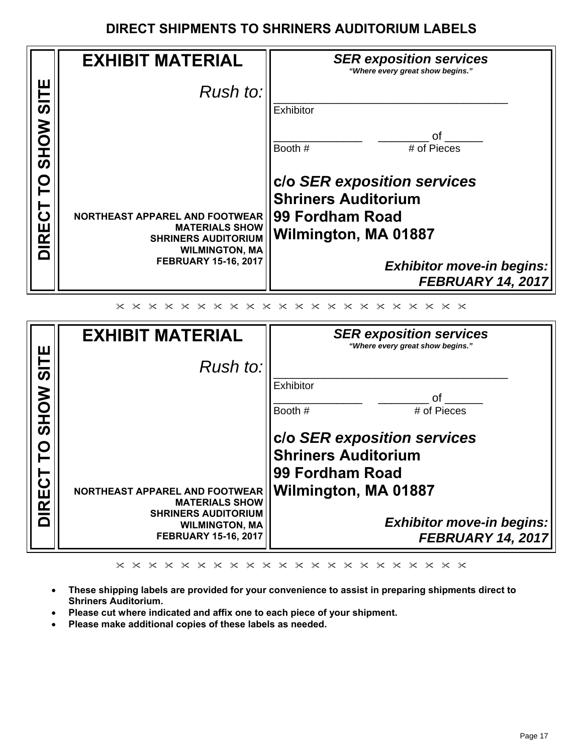#### **DIRECT SHIPMENTS TO SHRINERS AUDITORIUM LABELS**

|                 | <b>EXHIBIT MATERIAL</b>                                                            | <b>SER exposition services</b><br>"Where every great show begins." |
|-----------------|------------------------------------------------------------------------------------|--------------------------------------------------------------------|
| щ               | Rush to:                                                                           |                                                                    |
|                 |                                                                                    | Exhibitor                                                          |
| <b>HIS NORS</b> |                                                                                    | Ωf<br>Booth #<br># of Pieces                                       |
| O               |                                                                                    | c/o SER exposition services<br><b>Shriners Auditorium</b>          |
| <b>DIRECT</b>   | <b>NORTHEAST APPAREL AND FOOTWEAR</b><br><b>MATERIALS SHOW</b>                     | 99 Fordham Road                                                    |
|                 | <b>SHRINERS AUDITORIUM</b><br><b>WILMINGTON, MA</b><br><b>FEBRUARY 15-16, 2017</b> | Wilmington, MA 01887                                               |
|                 |                                                                                    | <b>Exhibitor move-in begins:</b><br><b>FEBRUARY 14, 2017</b>       |
|                 |                                                                                    |                                                                    |

| ш           | <b>EXHIBIT MATERIAL</b>                                                            | <b>SER exposition services</b><br>"Where every great show begins."                                                             |
|-------------|------------------------------------------------------------------------------------|--------------------------------------------------------------------------------------------------------------------------------|
| $rac{1}{3}$ | Rush to:                                                                           |                                                                                                                                |
| SHOW        |                                                                                    | Exhibitor<br>Ωf                                                                                                                |
| 巴<br>K      | NORTHEAST APPAREL AND FOOTWEAR<br><b>MATERIALS SHOW</b>                            | Booth #<br># of Pieces<br>clo SER exposition services<br><b>Shriners Auditorium</b><br>99 Fordham Road<br>Wilmington, MA 01887 |
|             | <b>SHRINERS AUDITORIUM</b><br><b>WILMINGTON, MA</b><br><b>FEBRUARY 15-16, 2017</b> | <b>Exhibitor move-in begins:</b><br><b>FEBRUARY 14, 2017</b>                                                                   |

- **These shipping labels are provided for your convenience to assist in preparing shipments direct to Shriners Auditorium.**
- **Please cut where indicated and affix one to each piece of your shipment.**
- **Please make additional copies of these labels as needed.**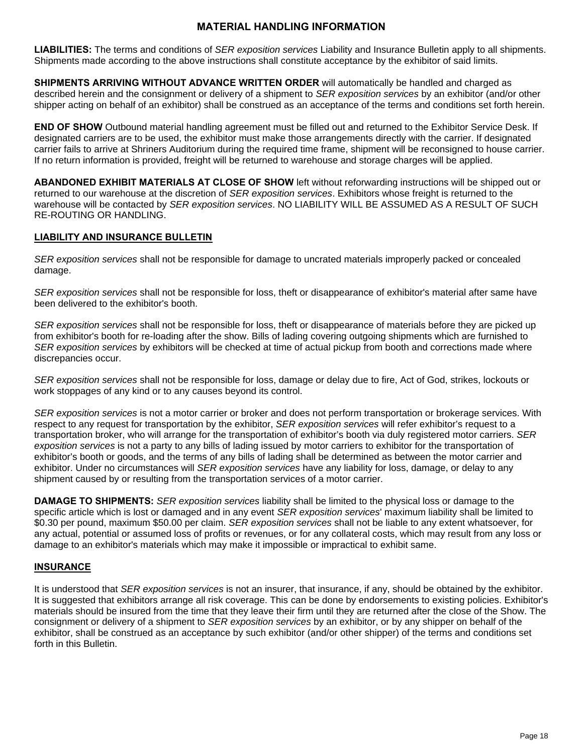#### **MATERIAL HANDLING INFORMATION**

**LIABILITIES:** The terms and conditions of *SER exposition services* Liability and Insurance Bulletin apply to all shipments. Shipments made according to the above instructions shall constitute acceptance by the exhibitor of said limits.

**SHIPMENTS ARRIVING WITHOUT ADVANCE WRITTEN ORDER will automatically be handled and charged as** described herein and the consignment or delivery of a shipment to *SER exposition services* by an exhibitor (and/or other shipper acting on behalf of an exhibitor) shall be construed as an acceptance of the terms and conditions set forth herein.

**END OF SHOW** Outbound material handling agreement must be filled out and returned to the Exhibitor Service Desk. If designated carriers are to be used, the exhibitor must make those arrangements directly with the carrier. If designated carrier fails to arrive at Shriners Auditorium during the required time frame, shipment will be reconsigned to house carrier. If no return information is provided, freight will be returned to warehouse and storage charges will be applied.

**ABANDONED EXHIBIT MATERIALS AT CLOSE OF SHOW** left without reforwarding instructions will be shipped out or returned to our warehouse at the discretion of *SER exposition services*. Exhibitors whose freight is returned to the warehouse will be contacted by *SER exposition services*. NO LIABILITY WILL BE ASSUMED AS A RESULT OF SUCH RE-ROUTING OR HANDLING.

#### **LIABILITY AND INSURANCE BULLETIN**

*SER exposition services* shall not be responsible for damage to uncrated materials improperly packed or concealed damage.

*SER exposition services* shall not be responsible for loss, theft or disappearance of exhibitor's material after same have been delivered to the exhibitor's booth.

*SER exposition services* shall not be responsible for loss, theft or disappearance of materials before they are picked up from exhibitor's booth for re-loading after the show. Bills of lading covering outgoing shipments which are furnished to *SER exposition services* by exhibitors will be checked at time of actual pickup from booth and corrections made where discrepancies occur.

*SER exposition services* shall not be responsible for loss, damage or delay due to fire, Act of God, strikes, lockouts or work stoppages of any kind or to any causes beyond its control.

*SER exposition services* is not a motor carrier or broker and does not perform transportation or brokerage services. With respect to any request for transportation by the exhibitor, *SER exposition services* will refer exhibitor's request to a transportation broker, who will arrange for the transportation of exhibitor's booth via duly registered motor carriers. *SER exposition services* is not a party to any bills of lading issued by motor carriers to exhibitor for the transportation of exhibitor's booth or goods, and the terms of any bills of lading shall be determined as between the motor carrier and exhibitor. Under no circumstances will *SER exposition services* have any liability for loss, damage, or delay to any shipment caused by or resulting from the transportation services of a motor carrier.

**DAMAGE TO SHIPMENTS:** *SER exposition services* liability shall be limited to the physical loss or damage to the specific article which is lost or damaged and in any event *SER exposition services*' maximum liability shall be limited to \$0.30 per pound, maximum \$50.00 per claim. *SER exposition services* shall not be liable to any extent whatsoever, for any actual, potential or assumed loss of profits or revenues, or for any collateral costs, which may result from any loss or damage to an exhibitor's materials which may make it impossible or impractical to exhibit same.

#### **INSURANCE**

It is understood that *SER exposition services* is not an insurer, that insurance, if any, should be obtained by the exhibitor. It is suggested that exhibitors arrange all risk coverage. This can be done by endorsements to existing policies. Exhibitor's materials should be insured from the time that they leave their firm until they are returned after the close of the Show. The consignment or delivery of a shipment to *SER exposition services* by an exhibitor, or by any shipper on behalf of the exhibitor, shall be construed as an acceptance by such exhibitor (and/or other shipper) of the terms and conditions set forth in this Bulletin.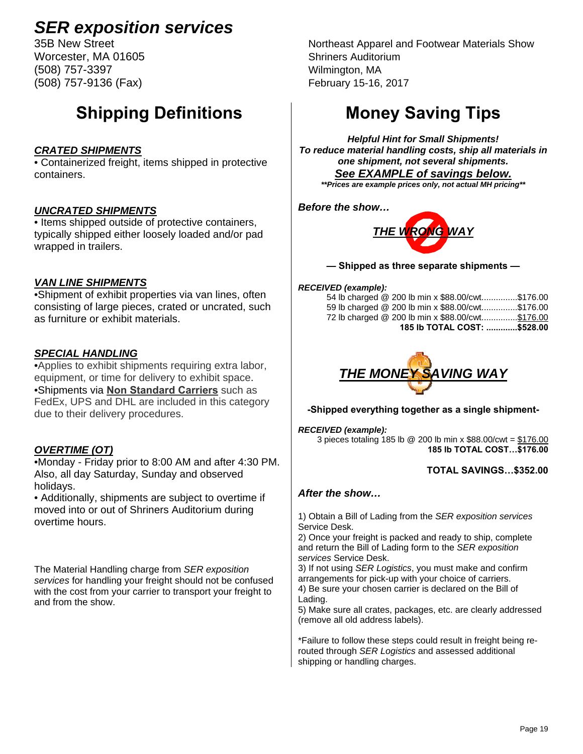Worcester, MA 01605 Shriners Auditorium (508) 757-3397 Wilmington, MA (508) 757-9136 (Fax) February 15-16, 2017

## **Shipping Definitions**

#### *CRATED SHIPMENTS*

• Containerized freight, items shipped in protective containers.

#### *UNCRATED SHIPMENTS*

• Items shipped outside of protective containers, typically shipped either loosely loaded and/or pad wrapped in trailers.

#### *VAN LINE SHIPMENTS*

•Shipment of exhibit properties via van lines, often consisting of large pieces, crated or uncrated, such as furniture or exhibit materials.

#### *SPECIAL HANDLING*

•Applies to exhibit shipments requiring extra labor, equipment, or time for delivery to exhibit space. •Shipments via **Non Standard Carriers** such as FedEx, UPS and DHL are included in this category due to their delivery procedures.

#### *OVERTIME (OT)*

•Monday - Friday prior to 8:00 AM and after 4:30 PM. Also, all day Saturday, Sunday and observed holidays.

• Additionally, shipments are subject to overtime if moved into or out of Shriners Auditorium during overtime hours.

The Material Handling charge from *SER exposition services* for handling your freight should not be confused with the cost from your carrier to transport your freight to and from the show.

35B New Street Northeast Apparel and Footwear Materials Show

## **Money Saving Tips**

*Helpful Hint for Small Shipments! To reduce material handling costs, ship all materials in one shipment, not several shipments. See EXAMPLE of savings below.* 

*\*\*Prices are example prices only, not actual MH pricing\*\** 

*Before the show…* 



**— Shipped as three separate shipments —** 

#### *RECEIVED (example):*

| 54 lb charged @ 200 lb min x \$88.00/cwt\$176.00  |  |
|---------------------------------------------------|--|
| 59 lb charged @ 200 lb min x \$88.00/cwt\$176.00  |  |
| 72 lb charged @ 200 lb min x \$88.00/cwt \$176.00 |  |
| 185 lb TOTAL COST: \$528.00                       |  |



#### **-Shipped everything together as a single shipment-**

#### *RECEIVED (example):*

3 pieces totaling 185 lb @ 200 lb min x \$88.00/cwt = \$176.00 **185 lb TOTAL COST…\$176.00** 

#### **TOTAL SAVINGS…\$352.00**

#### *After the show…*

1) Obtain a Bill of Lading from the *SER exposition services*  Service Desk.

2) Once your freight is packed and ready to ship, complete and return the Bill of Lading form to the *SER exposition services* Service Desk.

3) If not using *SER Logistics*, you must make and confirm arrangements for pick-up with your choice of carriers. 4) Be sure your chosen carrier is declared on the Bill of Lading.

5) Make sure all crates, packages, etc. are clearly addressed (remove all old address labels).

\*Failure to follow these steps could result in freight being rerouted through *SER Logistics* and assessed additional shipping or handling charges.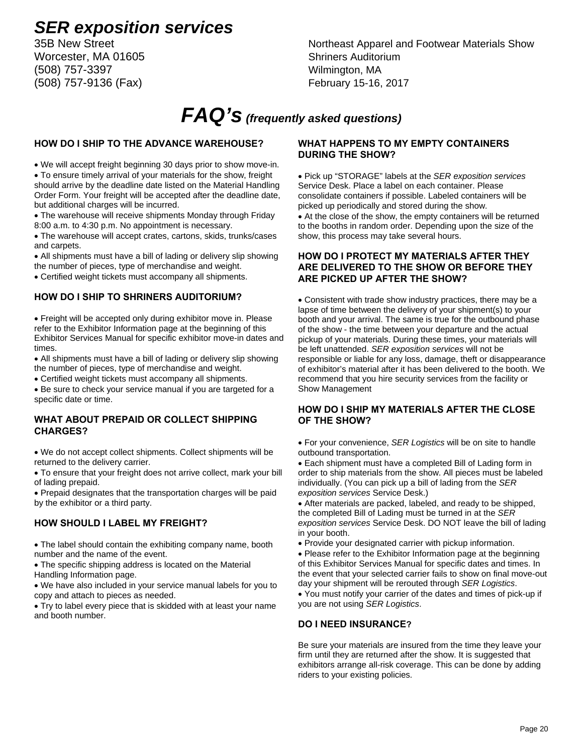Worcester, MA 01605 Shriners Auditorium (508) 757-3397 Wilmington, MA (508) 757-9136 (Fax) February 15-16, 2017

# 35B New Street Northeast Apparel and Footwear Materials Show

## *FAQ's (frequently asked questions)*

#### **HOW DO I SHIP TO THE ADVANCE WAREHOUSE?**

We will accept freight beginning 30 days prior to show move-in.

 To ensure timely arrival of your materials for the show, freight should arrive by the deadline date listed on the Material Handling Order Form. Your freight will be accepted after the deadline date, but additional charges will be incurred.

 The warehouse will receive shipments Monday through Friday 8:00 a.m. to 4:30 p.m. No appointment is necessary.

 The warehouse will accept crates, cartons, skids, trunks/cases and carpets.

 All shipments must have a bill of lading or delivery slip showing the number of pieces, type of merchandise and weight.

Certified weight tickets must accompany all shipments.

#### **HOW DO I SHIP TO SHRINERS AUDITORIUM?**

 Freight will be accepted only during exhibitor move in. Please refer to the Exhibitor Information page at the beginning of this Exhibitor Services Manual for specific exhibitor move-in dates and times.

 All shipments must have a bill of lading or delivery slip showing the number of pieces, type of merchandise and weight.

Certified weight tickets must accompany all shipments.

 Be sure to check your service manual if you are targeted for a specific date or time.

#### **WHAT ABOUT PREPAID OR COLLECT SHIPPING CHARGES?**

 We do not accept collect shipments. Collect shipments will be returned to the delivery carrier.

 To ensure that your freight does not arrive collect, mark your bill of lading prepaid.

 Prepaid designates that the transportation charges will be paid by the exhibitor or a third party.

#### **HOW SHOULD I LABEL MY FREIGHT?**

 The label should contain the exhibiting company name, booth number and the name of the event.

 The specific shipping address is located on the Material Handling Information page.

 We have also included in your service manual labels for you to copy and attach to pieces as needed.

 Try to label every piece that is skidded with at least your name and booth number.

#### **WHAT HAPPENS TO MY EMPTY CONTAINERS DURING THE SHOW?**

 Pick up "STORAGE" labels at the *SER exposition services* Service Desk. Place a label on each container. Please consolidate containers if possible. Labeled containers will be picked up periodically and stored during the show.

 At the close of the show, the empty containers will be returned to the booths in random order. Depending upon the size of the show, this process may take several hours.

#### **HOW DO I PROTECT MY MATERIALS AFTER THEY ARE DELIVERED TO THE SHOW OR BEFORE THEY ARE PICKED UP AFTER THE SHOW?**

 Consistent with trade show industry practices, there may be a lapse of time between the delivery of your shipment(s) to your booth and your arrival. The same is true for the outbound phase of the show - the time between your departure and the actual pickup of your materials. During these times, your materials will be left unattended. *SER exposition services* will not be responsible or liable for any loss, damage, theft or disappearance of exhibitor's material after it has been delivered to the booth. We recommend that you hire security services from the facility or Show Management

#### **HOW DO I SHIP MY MATERIALS AFTER THE CLOSE OF THE SHOW?**

 For your convenience, *SER Logistics* will be on site to handle outbound transportation.

 Each shipment must have a completed Bill of Lading form in order to ship materials from the show. All pieces must be labeled individually. (You can pick up a bill of lading from the *SER exposition services* Service Desk.)

 After materials are packed, labeled, and ready to be shipped, the completed Bill of Lading must be turned in at the *SER exposition services* Service Desk. DO NOT leave the bill of lading in your booth.

Provide your designated carrier with pickup information.

• Please refer to the Exhibitor Information page at the beginning of this Exhibitor Services Manual for specific dates and times. In the event that your selected carrier fails to show on final move-out day your shipment will be rerouted through *SER Logistics*.

 You must notify your carrier of the dates and times of pick-up if you are not using *SER Logistics*.

#### **DO I NEED INSURANCE?**

Be sure your materials are insured from the time they leave your firm until they are returned after the show. It is suggested that exhibitors arrange all-risk coverage. This can be done by adding riders to your existing policies.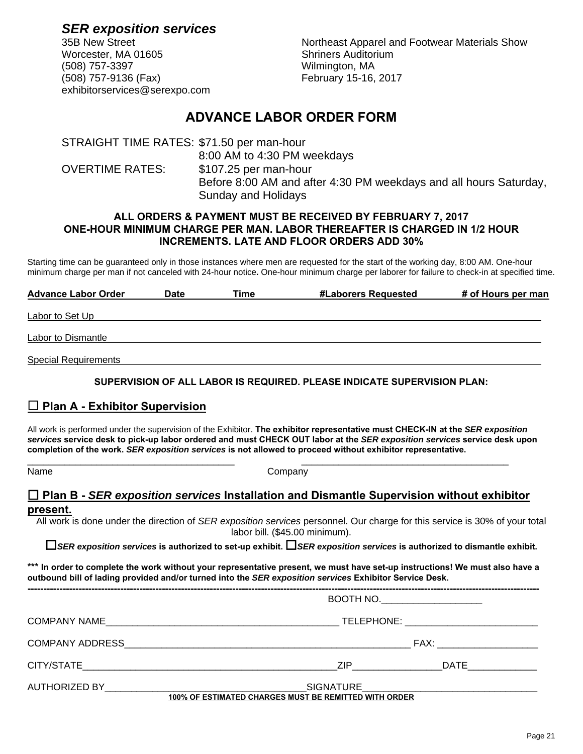Worcester, MA 01605 Shriners Auditorium (508) 757-3397 Wilmington, MA (508) 757-9136 (Fax) February 15-16, 2017 exhibitorservices@serexpo.com

*SER exposition services* 35B New Street Northeast Apparel and Footwear Materials Show

#### **ADVANCE LABOR ORDER FORM**

STRAIGHT TIME RATES: \$71.50 per man-hour 8:00 AM to 4:30 PM weekdays OVERTIME RATES: \$107.25 per man-hour Before 8:00 AM and after 4:30 PM weekdays and all hours Saturday, Sunday and Holidays

#### **ALL ORDERS & PAYMENT MUST BE RECEIVED BY FEBRUARY 7, 2017 ONE-HOUR MINIMUM CHARGE PER MAN. LABOR THEREAFTER IS CHARGED IN 1/2 HOUR INCREMENTS. LATE AND FLOOR ORDERS ADD 30%**

Starting time can be guaranteed only in those instances where men are requested for the start of the working day, 8:00 AM. One-hour minimum charge per man if not canceled with 24-hour notice**.** One-hour minimum charge per laborer for failure to check-in at specified time.

| <b>Advance Labor Order</b>  | <b>Date</b> | Time | #Laborers Requested | # of Hours per man |
|-----------------------------|-------------|------|---------------------|--------------------|
| Labor to Set Up             |             |      |                     |                    |
| Labor to Dismantle          |             |      |                     |                    |
| <b>Special Requirements</b> |             |      |                     |                    |

#### **SUPERVISION OF ALL LABOR IS REQUIRED. PLEASE INDICATE SUPERVISION PLAN:**

#### **Plan A - Exhibitor Supervision**

All work is performed under the supervision of the Exhibitor. **The exhibitor representative must CHECK-IN at the** *SER exposition services* **service desk to pick-up labor ordered and must CHECK OUT labor at the** *SER exposition services* **service desk upon completion of the work.** *SER exposition services* **is not allowed to proceed without exhibitor representative.** 

\_\_\_\_\_\_\_\_\_\_\_\_\_\_\_\_\_\_\_\_\_\_\_\_\_\_\_\_\_\_\_\_\_\_\_\_\_\_\_ \_\_\_\_\_\_\_\_\_\_\_\_\_\_\_\_\_\_\_\_\_\_\_\_\_\_\_\_\_\_\_\_\_\_\_\_\_\_\_ Name Company

#### **Plan B -** *SER exposition services* **Installation and Dismantle Supervision without exhibitor present.**

All work is done under the direction of *SER exposition services* personnel. Our charge for this service is 30% of your total labor bill. (\$45.00 minimum).

*SER exposition services* **is authorized to set-up exhibit.** *SER exposition services* **is authorized to dismantle exhibit.** 

**\*\*\* In order to complete the work without your representative present, we must have set-up instructions! We must also have a outbound bill of lading provided and/or turned into the** *SER exposition services* **Exhibitor Service Desk.**

| $\overline{BOOTH}$ NO. $\qquad \qquad \qquad$         |
|-------------------------------------------------------|
|                                                       |
|                                                       |
|                                                       |
| 100% OF ESTIMATED CHARGES MUST BE REMITTED WITH ORDER |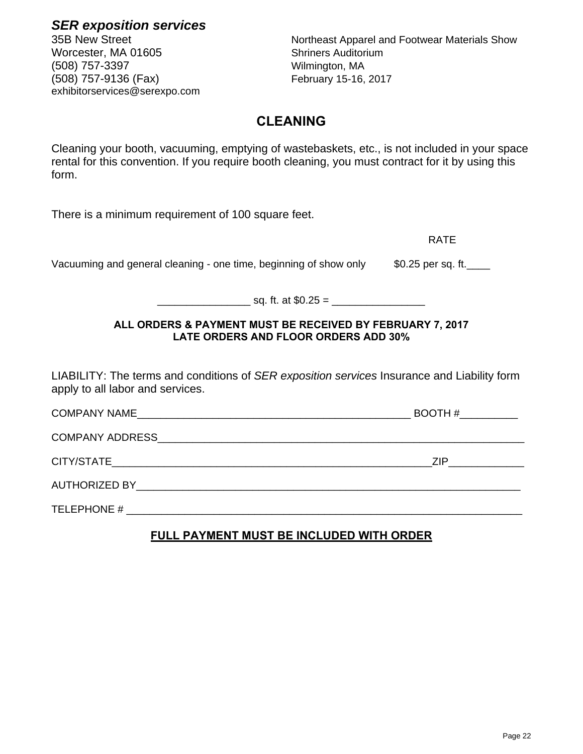There is a minimum requirement of 100 square feet. RATE Vacuuming and general cleaning - one time, beginning of show only  $\qquad$  \$0.25 per sq. ft.  $sq.$  ft. at  $$0.25 =$ **ALL ORDERS & PAYMENT MUST BE RECEIVED BY FEBRUARY 7, 2017 LATE ORDERS AND FLOOR ORDERS ADD 30%** LIABILITY: The terms and conditions of *SER exposition services* Insurance and Liability form apply to all labor and services. COMPANY NAME\_\_\_\_\_\_\_\_\_\_\_\_\_\_\_\_\_\_\_\_\_\_\_\_\_\_\_\_\_\_\_\_\_\_\_\_\_\_\_\_\_\_\_\_\_\_\_ BOOTH #\_\_\_\_\_\_\_\_\_\_ COMPANY ADDRESS\_\_\_\_\_\_\_\_\_\_\_\_\_\_\_\_\_\_\_\_\_\_\_\_\_\_\_\_\_\_\_\_\_\_\_\_\_\_\_\_\_\_\_\_\_\_\_\_\_\_\_\_\_\_\_\_\_\_\_\_\_\_\_ CITY/STATE\_\_\_\_\_\_\_\_\_\_\_\_\_\_\_\_\_\_\_\_\_\_\_\_\_\_\_\_\_\_\_\_\_\_\_\_\_\_\_\_\_\_\_\_\_\_\_\_\_\_\_\_\_\_\_ZIP\_\_\_\_\_\_\_\_\_\_\_\_\_ AUTHORIZED BY\_\_\_\_\_\_\_\_\_\_\_\_\_\_\_\_\_\_\_\_\_\_\_\_\_\_\_\_\_\_\_\_\_\_\_\_\_\_\_\_\_\_\_\_\_\_\_\_\_\_\_\_\_\_\_\_\_\_\_\_\_\_\_\_\_\_ TELEPHONE #

#### **FULL PAYMENT MUST BE INCLUDED WITH ORDER**

35B New Street Northeast Apparel and Footwear Materials Show

## **CLEANING**

Cleaning your booth, vacuuming, emptying of wastebaskets, etc., is not included in your space rental for this convention. If you require booth cleaning, you must contract for it by using this form.

*SER exposition services*

Worcester, MA 01605 Shriners Auditorium (508) 757-3397 Wilmington, MA (508) 757-9136 (Fax) February 15-16, 2017 exhibitorservices@serexpo.com